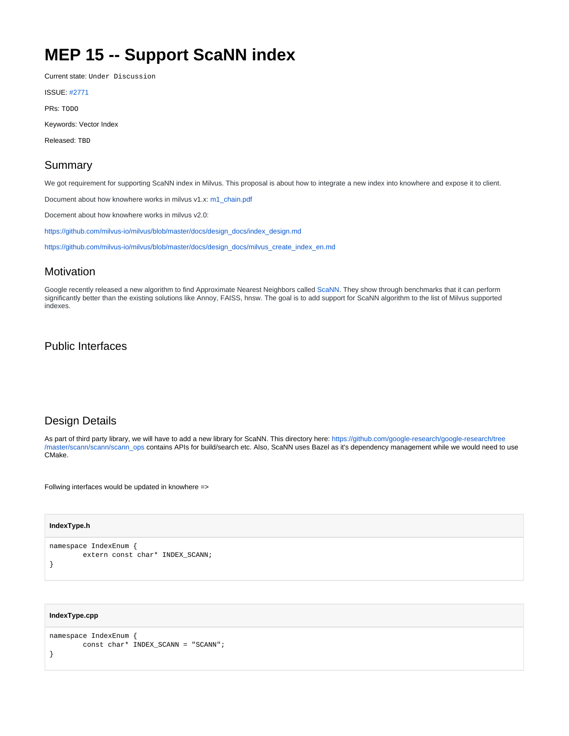# **MEP 15 -- Support ScaNN index**

Current state: Under Discussion

| <b>ISSUE: #277</b> |
|--------------------|
|--------------------|

PRs: TODO

Keywords: Vector Index

Released: TBD

## Summary

We got requirement for supporting ScaNN index in Milvus. This proposal is about how to integrate a new index into knowhere and expose it to client.

Document about how knowhere works in milvus v1.x: [m1\\_chain.pdf](https://wiki.lfaidata.foundation/download/attachments/48925517/m1_chain.pdf?version=1&modificationDate=1633760981000&api=v2)

Docement about how knowhere works in milvus v2.0:

[https://github.com/milvus-io/milvus/blob/master/docs/design\\_docs/index\\_design.md](https://github.com/milvus-io/milvus/blob/master/docs/design_docs/index_design.md)

[https://github.com/milvus-io/milvus/blob/master/docs/design\\_docs/milvus\\_create\\_index\\_en.md](https://github.com/milvus-io/milvus/blob/master/docs/design_docs/milvus_create_index_en.md)

### **Motivation**

Google recently released a new algorithm to find Approximate Nearest Neighbors called [ScaNN](https://github.com/google-research/google-research/tree/master/scann). They show through benchmarks that it can perform significantly better than the existing solutions like Annoy, FAISS, hnsw. The goal is to add support for ScaNN algorithm to the list of Milvus supported indexes.

## Public Interfaces

## Design Details

As part of third party library, we will have to add a new library for ScaNN. This directory here: [https://github.com/google-research/google-research/tree](https://github.com/google-research/google-research/tree/master/scann/scann/scann_ops) [/master/scann/scann/scann\\_ops](https://github.com/google-research/google-research/tree/master/scann/scann/scann_ops) contains APIs for build/search etc. Also, ScaNN uses Bazel as it's dependency management while we would need to use CMake.

Follwing interfaces would be updated in knowhere =>

#### **IndexType.h**

```
namespace IndexEnum {
         extern const char* INDEX_SCANN;
}
```
#### **IndexType.cpp**

```
namespace IndexEnum {
         const char* INDEX_SCANN = "SCANN";
}
```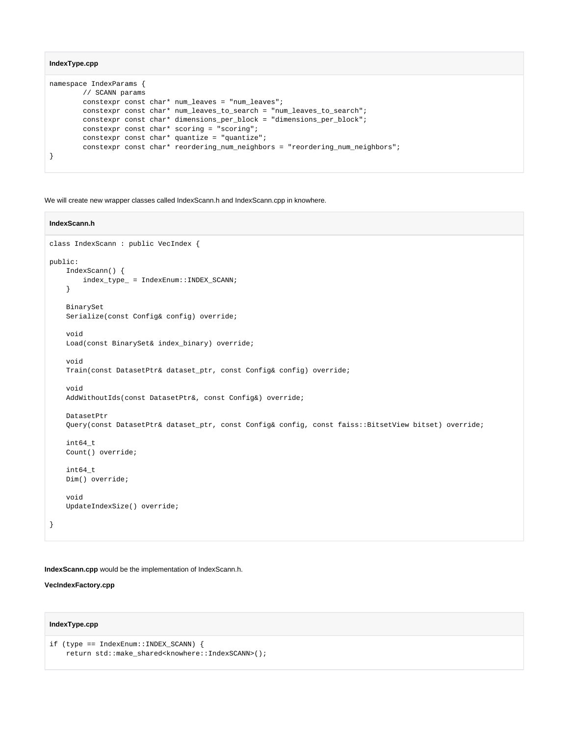#### **IndexType.cpp**

```
namespace IndexParams {
        // SCANN params
        constexpr const char* num_leaves = "num_leaves";
        constexpr const char* num_leaves_to_search = "num_leaves_to_search";
        constexpr const char* dimensions_per_block = "dimensions_per_block";
        constexpr const char* scoring = "scoring";
       constexpr const char* quantize = "quantize";
        constexpr const char* reordering_num_neighbors = "reordering_num_neighbors";
}
```
We will create new wrapper classes called IndexScann.h and IndexScann.cpp in knowhere.

#### **IndexScann.h**

```
class IndexScann : public VecIndex { 
public:
    IndexScann() {
        index_type_ = IndexEnum::INDEX_SCANN;
     }
    BinarySet
    Serialize(const Config& config) override;
     void
     Load(const BinarySet& index_binary) override;
     void
    Train(const DatasetPtr& dataset_ptr, const Config& config) override;
     void
     AddWithoutIds(const DatasetPtr&, const Config&) override;
     DatasetPtr
     Query(const DatasetPtr& dataset_ptr, const Config& config, const faiss::BitsetView bitset) override;
     int64_t
    Count() override;
     int64_t
    Dim() override;
     void
     UpdateIndexSize() override;
}
```
**IndexScann.cpp** would be the implementation of IndexScann.h.

#### **VecIndexFactory.cpp**

#### **IndexType.cpp**

```
if (type == IndexEnum::INDEX_SCANN) {
    <code>return std::make_shared</code><knowhere::IndexSCANN>();
```